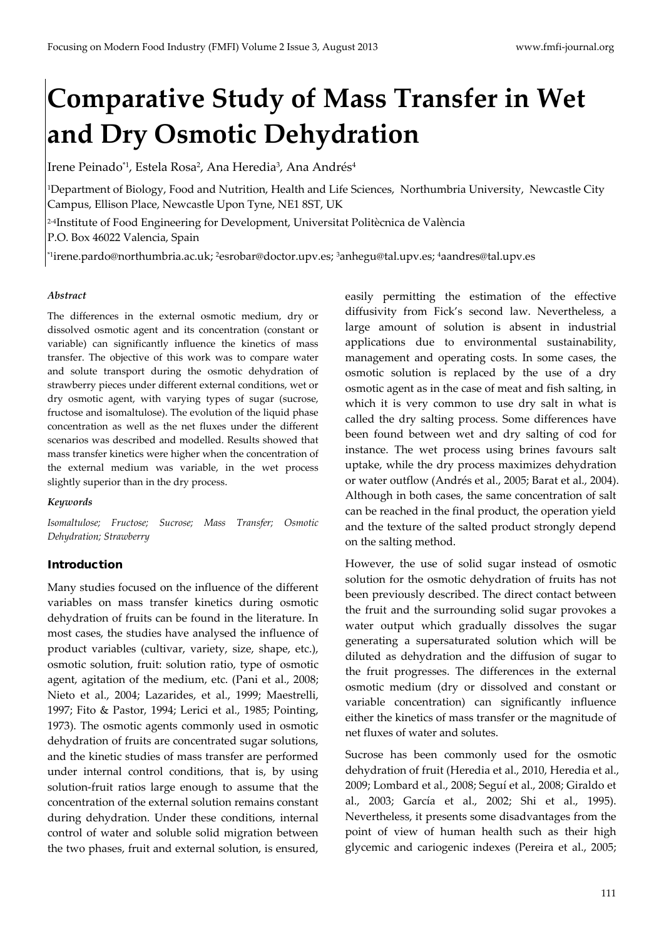# **Comparative Study of Mass Transfer in Wet and Dry Osmotic Dehydration**

Irene Peinado\*<sup>1</sup>, Estela Rosa<sup>2</sup>, Ana Heredia<sup>3</sup>, Ana Andrés<sup>4</sup>

1Department of Biology, Food and Nutrition, Health and Life Sciences, Northumbria University, Newcastle City Campus, Ellison Place, Newcastle Upon Tyne, NE1 8ST, UK

2-4Institute of Food Engineering for Development, Universitat Politècnica de València P.O. Box 46022 Valencia, Spain

\*1irene.pardo@northumbria.ac.uk; 2esrobar@doctor.upv.es; 3anhegu@tal.upv.es; 4aandres@tal.upv.es

## *Abstract*

The differences in the external osmotic medium, dry or dissolved osmotic agent and its concentration (constant or variable) can significantly influence the kinetics of mass transfer. The objective of this work was to compare water and solute transport during the osmotic dehydration of strawberry pieces under different external conditions, wet or dry osmotic agent, with varying types of sugar (sucrose, fructose and isomaltulose). The evolution of the liquid phase concentration as well as the net fluxes under the different scenarios was described and modelled. Results showed that mass transfer kinetics were higher when the concentration of the external medium was variable, in the wet process slightly superior than in the dry process.

# *Keywords*

*Isomaltulose; Fructose; Sucrose; Mass Transfer; Osmotic Dehydration; Strawberry*

# Introduction

Many studies focused on the influence of the different variables on mass transfer kinetics during osmotic dehydration of fruits can be found in the literature. In most cases, the studies have analysed the influence of product variables (cultivar, variety, size, shape, etc.), osmotic solution, fruit: solution ratio, type of osmotic agent, agitation of the medium, etc. (Pani et al., 2008; Nieto et al., 2004; Lazarides, et al., 1999; Maestrelli, 1997; Fito & Pastor, 1994; Lerici et al., 1985; Pointing, 1973). The osmotic agents commonly used in osmotic dehydration of fruits are concentrated sugar solutions, and the kinetic studies of mass transfer are performed under internal control conditions, that is, by using solution-fruit ratios large enough to assume that the concentration of the external solution remains constant during dehydration. Under these conditions, internal control of water and soluble solid migration between the two phases, fruit and external solution, is ensured,

easily permitting the estimation of the effective diffusivity from Fick's second law. Nevertheless, a large amount of solution is absent in industrial applications due to environmental sustainability, management and operating costs. In some cases, the osmotic solution is replaced by the use of a dry osmotic agent as in the case of meat and fish salting, in which it is very common to use dry salt in what is called the dry salting process. Some differences have been found between wet and dry salting of cod for instance. The wet process using brines favours salt uptake, while the dry process maximizes dehydration or water outflow (Andrés et al., 2005; Barat et al., 2004). Although in both cases, the same concentration of salt can be reached in the final product, the operation yield and the texture of the salted product strongly depend on the salting method.

However, the use of solid sugar instead of osmotic solution for the osmotic dehydration of fruits has not been previously described. The direct contact between the fruit and the surrounding solid sugar provokes a water output which gradually dissolves the sugar generating a supersaturated solution which will be diluted as dehydration and the diffusion of sugar to the fruit progresses. The differences in the external osmotic medium (dry or dissolved and constant or variable concentration) can significantly influence either the kinetics of mass transfer or the magnitude of net fluxes of water and solutes.

Sucrose has been commonly used for the osmotic dehydration of fruit (Heredia et al., 2010, Heredia et al., 2009; Lombard et al., 2008; Seguí et al., 2008; Giraldo et al., 2003; García et al., 2002; Shi et al., 1995). Nevertheless, it presents some disadvantages from the point of view of human health such as their high glycemic and cariogenic indexes (Pereira et al., 2005;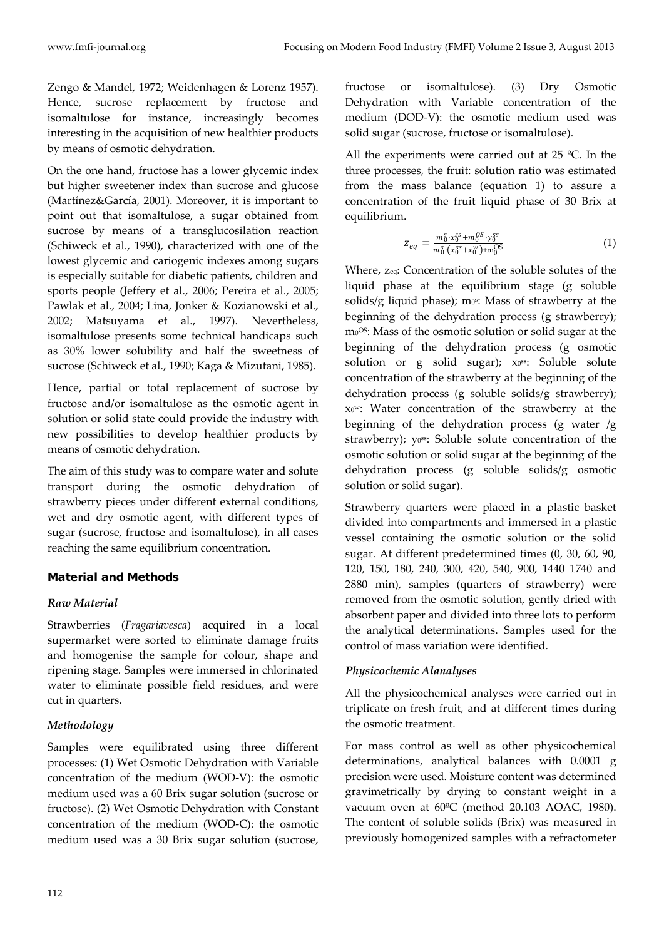Zengo & Mandel, 1972; Weidenhagen & Lorenz 1957). Hence, sucrose replacement by fructose and isomaltulose for instance, increasingly becomes interesting in the acquisition of new healthier products by means of osmotic dehydration.

On the one hand, fructose has a lower glycemic index but higher sweetener index than sucrose and glucose (Martínez&García, 2001). Moreover, it is important to point out that isomaltulose, a sugar obtained from sucrose by means of a transglucosilation reaction (Schiweck et al., 1990), characterized with one of the lowest glycemic and cariogenic indexes among sugars is especially suitable for diabetic patients, children and sports people (Jeffery et al., 2006; Pereira et al., 2005; Pawlak et al., 2004; Lina, Jonker & Kozianowski et al., 2002; Matsuyama et al., 1997). Nevertheless, isomaltulose presents some technical handicaps such as 30% lower solubility and half the sweetness of sucrose (Schiweck et al., 1990; Kaga & Mizutani, 1985).

Hence, partial or total replacement of sucrose by fructose and/or isomaltulose as the osmotic agent in solution or solid state could provide the industry with new possibilities to develop healthier products by means of osmotic dehydration.

The aim of this study was to compare water and solute transport during the osmotic dehydration of strawberry pieces under different external conditions, wet and dry osmotic agent, with different types of sugar (sucrose, fructose and isomaltulose), in all cases reaching the same equilibrium concentration.

# Material and Methods

# *Raw Material*

Strawberries (*Fragariavesca*) acquired in a local supermarket were sorted to eliminate damage fruits and homogenise the sample for colour, shape and ripening stage. Samples were immersed in chlorinated water to eliminate possible field residues, and were cut in quarters.

# *Methodology*

Samples were equilibrated using three different processes*:* (1) Wet Osmotic Dehydration with Variable concentration of the medium (WOD-V): the osmotic medium used was a 60 Brix sugar solution (sucrose or fructose). (2) Wet Osmotic Dehydration with Constant concentration of the medium (WOD-C): the osmotic medium used was a 30 Brix sugar solution (sucrose,

fructose or isomaltulose). (3) Dry Osmotic Dehydration with Variable concentration of the medium (DOD-V): the osmotic medium used was solid sugar (sucrose, fructose or isomaltulose).

All the experiments were carried out at 25 ºC. In the three processes, the fruit: solution ratio was estimated from the mass balance (equation 1) to assure a concentration of the fruit liquid phase of 30 Brix at equilibrium.

$$
z_{eq} = \frac{m_0^s \cdot x_0^{ss} + m_0^{OS} \cdot y_0^{ss}}{m_0^s \cdot (x_0^{ss} + x_0^w) + m_0^{OS}} \tag{1}
$$

Where, zeq: Concentration of the soluble solutes of the liquid phase at the equilibrium stage (g soluble solids/g liquid phase);  $m<sub>0</sub>$ : Mass of strawberry at the beginning of the dehydration process (g strawberry); m0OS: Mass of the osmotic solution or solid sugar at the beginning of the dehydration process (g osmotic solution or  $g$  solid sugar);  $x_0$ <sup>ss</sup>: Soluble solute concentration of the strawberry at the beginning of the dehydration process (g soluble solids/g strawberry); x0w: Water concentration of the strawberry at the beginning of the dehydration process (g water  $/g$ strawberry); y<sub>0</sub>ss: Soluble solute concentration of the osmotic solution or solid sugar at the beginning of the dehydration process (g soluble solids/g osmotic solution or solid sugar).

Strawberry quarters were placed in a plastic basket divided into compartments and immersed in a plastic vessel containing the osmotic solution or the solid sugar. At different predetermined times (0, 30, 60, 90, 120, 150, 180, 240, 300, 420, 540, 900, 1440 1740 and 2880 min), samples (quarters of strawberry) were removed from the osmotic solution, gently dried with absorbent paper and divided into three lots to perform the analytical determinations. Samples used for the control of mass variation were identified.

# *Physicochemic Alanalyses*

All the physicochemical analyses were carried out in triplicate on fresh fruit, and at different times during the osmotic treatment.

For mass control as well as other physicochemical determinations, analytical balances with 0.0001 g precision were used. Moisture content was determined gravimetrically by drying to constant weight in a vacuum oven at 60ºC (method 20.103 AOAC, 1980). The content of soluble solids (Brix) was measured in previously homogenized samples with a refractometer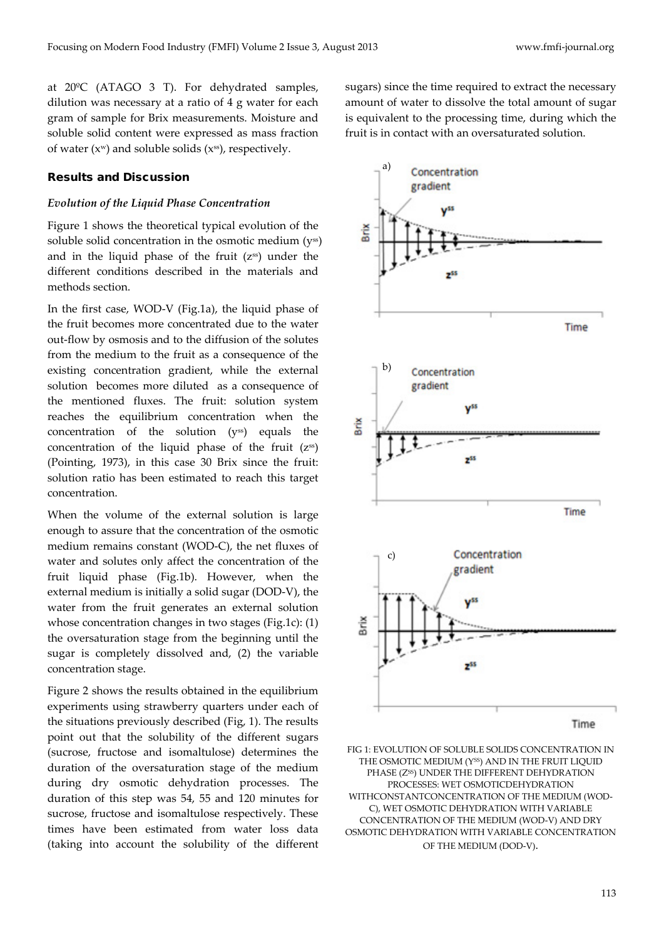at 20ºC (ATAGO 3 T). For dehydrated samples, dilution was necessary at a ratio of 4 g water for each gram of sample for Brix measurements. Moisture and soluble solid content were expressed as mass fraction of water  $(x^w)$  and soluble solids  $(x^{ss})$ , respectively.

## Results and Discussion

## *Evolution of the Liquid Phase Concentration*

Figure 1 shows the theoretical typical evolution of the soluble solid concentration in the osmotic medium (yss) and in the liquid phase of the fruit  $(z^{ss})$  under the different conditions described in the materials and methods section.

In the first case, WOD-V (Fig.1a), the liquid phase of the fruit becomes more concentrated due to the water out-flow by osmosis and to the diffusion of the solutes from the medium to the fruit as a consequence of the existing concentration gradient, while the external solution becomes more diluted as a consequence of the mentioned fluxes. The fruit: solution system reaches the equilibrium concentration when the concentration of the solution  $(y^{ss})$  equals the concentration of the liquid phase of the fruit  $(z^{ss})$ (Pointing, 1973), in this case 30 Brix since the fruit: solution ratio has been estimated to reach this target concentration.

When the volume of the external solution is large enough to assure that the concentration of the osmotic medium remains constant (WOD-C), the net fluxes of water and solutes only affect the concentration of the fruit liquid phase (Fig.1b). However, when the external medium is initially a solid sugar (DOD-V), the water from the fruit generates an external solution whose concentration changes in two stages (Fig.1c): (1) the oversaturation stage from the beginning until the sugar is completely dissolved and, (2) the variable concentration stage.

Figure 2 shows the results obtained in the equilibrium experiments using strawberry quarters under each of the situations previously described (Fig, 1). The results point out that the solubility of the different sugars (sucrose, fructose and isomaltulose) determines the duration of the oversaturation stage of the medium during dry osmotic dehydration processes. The duration of this step was 54, 55 and 120 minutes for sucrose, fructose and isomaltulose respectively. These times have been estimated from water loss data (taking into account the solubility of the different sugars) since the time required to extract the necessary amount of water to dissolve the total amount of sugar is equivalent to the processing time, during which the fruit is in contact with an oversaturated solution.



WITHCONSTANTCONCENTRATION OF THE MEDIUM (WOD-C), WET OSMOTIC DEHYDRATION WITH VARIABLE CONCENTRATION OF THE MEDIUM (WOD-V) AND DRY OSMOTIC DEHYDRATION WITH VARIABLE CONCENTRATION OF THE MEDIUM (DOD-V).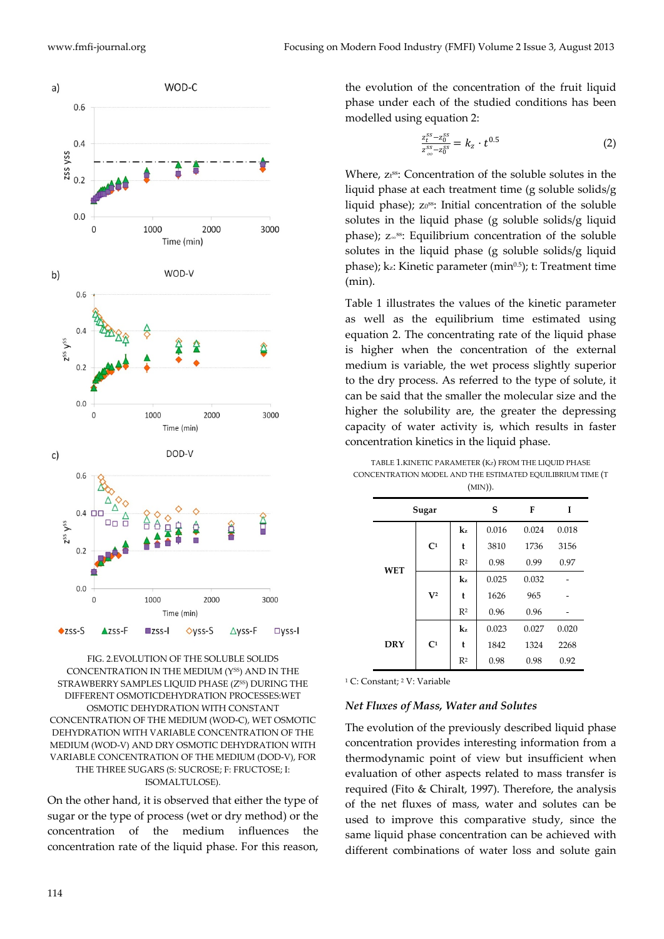

#### FIG. 2.EVOLUTION OF THE SOLUBLE SOLIDS CONCENTRATION IN THE MEDIUM (YSS) AND IN THE STRAWBERRY SAMPLES LIQUID PHASE (ZSS) DURING THE DIFFERENT OSMOTICDEHYDRATION PROCESSES:WET OSMOTIC DEHYDRATION WITH CONSTANT CONCENTRATION OF THE MEDIUM (WOD-C), WET OSMOTIC DEHYDRATION WITH VARIABLE CONCENTRATION OF THE MEDIUM (WOD-V) AND DRY OSMOTIC DEHYDRATION WITH VARIABLE CONCENTRATION OF THE MEDIUM (DOD-V), FOR THE THREE SUGARS (S: SUCROSE; F: FRUCTOSE; I: ISOMALTULOSE).

On the other hand, it is observed that either the type of sugar or the type of process (wet or dry method) or the concentration of the medium influences the concentration rate of the liquid phase. For this reason,

the evolution of the concentration of the fruit liquid phase under each of the studied conditions has been modelled using equation 2:

$$
\frac{z_t^{ss} - z_0^{ss}}{z_{ss}^{ss} - z_0^{ss}} = k_z \cdot t^{0.5}
$$
 (2)

Where,  $z$ <sup>*es*</sup>: Concentration of the soluble solutes in the liquid phase at each treatment time (g soluble solids/g liquid phase);  $z<sub>0</sub>$ <sup>ss</sup>: Initial concentration of the soluble solutes in the liquid phase (g soluble solids/g liquid phase); z<sub>∞</sub>ss: Equilibrium concentration of the soluble solutes in the liquid phase (g soluble solids/g liquid phase); kz: Kinetic parameter (min<sup>0.5</sup>); t: Treatment time (min).

Table 1 illustrates the values of the kinetic parameter as well as the equilibrium time estimated using equation 2. The concentrating rate of the liquid phase is higher when the concentration of the external medium is variable, the wet process slightly superior to the dry process. As referred to the type of solute, it can be said that the smaller the molecular size and the higher the solubility are, the greater the depressing capacity of water activity is, which results in faster concentration kinetics in the liquid phase.

TABLE 1. KINETIC PARAMETER (Kz) FROM THE LIQUID PHASE CONCENTRATION MODEL AND THE ESTIMATED EQUILIBRIUM TIME (T (MIN)).

| Sugar      |                |                | S     | F     | I     |  |
|------------|----------------|----------------|-------|-------|-------|--|
|            |                | $\mathbf{k}$   | 0.016 | 0.024 | 0.018 |  |
| <b>WET</b> | $\mathbb{C}^1$ | t              | 3810  | 1736  | 3156  |  |
|            |                | R <sup>2</sup> | 0.98  | 0.99  | 0.97  |  |
|            | $\mathbf{V}^2$ | $\mathbf{k}$   | 0.025 | 0.032 |       |  |
|            |                | t              | 1626  | 965   |       |  |
|            |                | R <sup>2</sup> | 0.96  | 0.96  |       |  |
| <b>DRY</b> | $\mathbb{C}^1$ | $\mathbf{k}$   | 0.023 | 0.027 | 0.020 |  |
|            |                | t              | 1842  | 1324  | 2268  |  |
|            |                | $R^2$          | 0.98  | 0.98  | 0.92  |  |

<sup>1</sup> C: Constant; <sup>2</sup> V: Variable

#### *Net Fluxes of Mass, Water and Solutes*

The evolution of the previously described liquid phase concentration provides interesting information from a thermodynamic point of view but insufficient when evaluation of other aspects related to mass transfer is required (Fito & Chiralt, 1997). Therefore, the analysis of the net fluxes of mass, water and solutes can be used to improve this comparative study, since the same liquid phase concentration can be achieved with different combinations of water loss and solute gain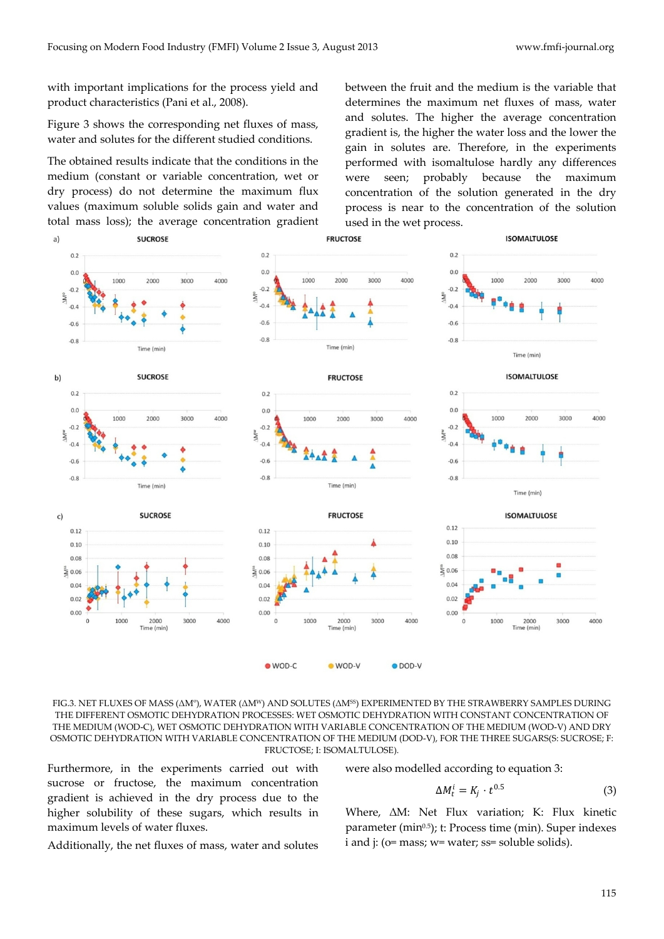with important implications for the process yield and product characteristics (Pani et al., 2008).

Figure 3 shows the corresponding net fluxes of mass, water and solutes for the different studied conditions.

The obtained results indicate that the conditions in the medium (constant or variable concentration, wet or dry process) do not determine the maximum flux values (maximum soluble solids gain and water and total mass loss); the average concentration gradient between the fruit and the medium is the variable that determines the maximum net fluxes of mass, water and solutes. The higher the average concentration gradient is, the higher the water loss and the lower the gain in solutes are. Therefore, in the experiments performed with isomaltulose hardly any differences were seen; probably because the maximum concentration of the solution generated in the dry process is near to the concentration of the solution used in the wet process.





Furthermore, in the experiments carried out with sucrose or fructose, the maximum concentration gradient is achieved in the dry process due to the higher solubility of these sugars, which results in maximum levels of water fluxes.

Additionally, the net fluxes of mass, water and solutes

were also modelled according to equation 3:

$$
\Delta M_t^i = K_j \cdot t^{0.5} \tag{3}
$$

Where, ∆M: Net Flux variation; K: Flux kinetic parameter (min<sup>0.5</sup>); t: Process time (min). Super indexes i and j: (o= mass; w= water; ss= soluble solids).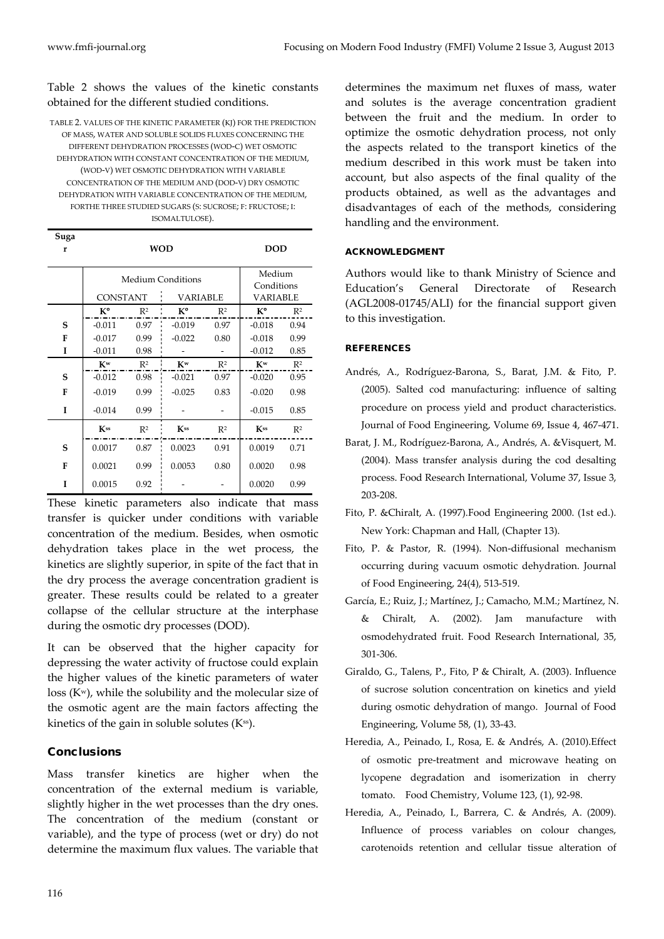**Suga**

Table 2 shows the values of the kinetic constants obtained for the different studied conditions.

TABLE 2. VALUES OF THE KINETIC PARAMETER (KJ) FOR THE PREDICTION OF MASS, WATER AND SOLUBLE SOLIDS FLUXES CONCERNING THE DIFFERENT DEHYDRATION PROCESSES (WOD-C) WET OSMOTIC DEHYDRATION WITH CONSTANT CONCENTRATION OF THE MEDIUM, (WOD-V) WET OSMOTIC DEHYDRATION WITH VARIABLE CONCENTRATION OF THE MEDIUM AND (DOD-V) DRY OSMOTIC DEHYDRATION WITH VARIABLE CONCENTRATION OF THE MEDIUM, FORTHE THREE STUDIED SUGARS (S: SUCROSE; F: FRUCTOSE; I: ISOMALTULOSE).

| ັ<br>r |                 | <b>WOD</b>               | <b>DOD</b>           |                |                |                |
|--------|-----------------|--------------------------|----------------------|----------------|----------------|----------------|
|        |                 | <b>Medium Conditions</b> | Medium<br>Conditions |                |                |                |
|        | <b>CONSTANT</b> |                          | <b>VARIABLE</b>      |                | VARIABLE       |                |
|        | $K^{\circ}$     | R <sup>2</sup>           | $K^{\circ}$          | R <sup>2</sup> | $K^{\circ}$    | R <sup>2</sup> |
| S      | $-0.011$        | 0.97                     | $-0.019$             | 0.97           | $-0.018$       | 0.94           |
| F      | $-0.017$        | 0.99                     | $-0.022$             | 0.80           | $-0.018$       | 0.99           |
| I      | $-0.011$        | 0.98                     |                      |                | $-0.012$       | 0.85           |
|        | K <sup>w</sup>  | $\mathbb{R}^2$           | <b>Kw</b>            | R <sup>2</sup> | K <sup>w</sup> | R <sup>2</sup> |
| S      | $-0.012$        | 0.98                     | $-0.021$             | 0.97           | $-0.020$       | 0.95           |
| F      | $-0.019$        | 0.99                     | $-0.025$             | 0.83           | $-0.020$       | 0.98           |
| I      | $-0.014$        | 0.99                     |                      |                | $-0.015$       | 0.85           |
|        | $K^{ss}$        | $R^2$                    | $K^{ss}$             | $R^2$          | $K^{ss}$       | $R^2$          |
| S      | 0.0017          | 0.87                     | 0.0023               | 0.91           | 0.0019         | 0.71           |
| F      | 0.0021          | 0.99                     | 0.0053               | 0.80           | 0.0020         | 0.98           |
| I      | 0.0015          | 0.92                     |                      |                | 0.0020         | 0.99           |

These kinetic parameters also indicate that mass transfer is quicker under conditions with variable concentration of the medium. Besides, when osmotic dehydration takes place in the wet process, the kinetics are slightly superior, in spite of the fact that in the dry process the average concentration gradient is greater. These results could be related to a greater collapse of the cellular structure at the interphase during the osmotic dry processes (DOD).

It can be observed that the higher capacity for depressing the water activity of fructose could explain the higher values of the kinetic parameters of water loss (Kw), while the solubility and the molecular size of the osmotic agent are the main factors affecting the kinetics of the gain in soluble solutes  $(K^{ss})$ .

# **Conclusions**

Mass transfer kinetics are higher when the concentration of the external medium is variable, slightly higher in the wet processes than the dry ones. The concentration of the medium (constant or variable), and the type of process (wet or dry) do not determine the maximum flux values. The variable that determines the maximum net fluxes of mass, water and solutes is the average concentration gradient between the fruit and the medium. In order to optimize the osmotic dehydration process, not only the aspects related to the transport kinetics of the medium described in this work must be taken into account, but also aspects of the final quality of the products obtained, as well as the advantages and disadvantages of each of the methods, considering handling and the environment.

# ACKNOWLEDGMENT

Authors would like to thank Ministry of Science and Education's General Directorate of Research (AGL2008-01745/ALI) for the financial support given to this investigation.

## **REFERENCES**

- Andrés, A., Rodríguez-Barona, S., Barat, J.M. & Fito, P. (2005). Salted cod manufacturing: influence of salting procedure on process yield and product characteristics. Journal of Food Engineering, Volume 69, Issue 4, 467-471.
- Barat, J. M., Rodríguez-Barona, A., Andrés, A. &Visquert, M. (2004). Mass transfer analysis during the cod desalting process. Food Research International, Volume 37, Issue 3, 203-208.
- Fito, P. &Chiralt, A. (1997).Food Engineering 2000. (1st ed.). New York: Chapman and Hall, (Chapter 13).
- Fito, P. & Pastor, R. (1994). Non-diffusional mechanism occurring during vacuum osmotic dehydration. Journal of Food Engineering, 24(4), 513-519.
- García, E.; Ruiz, J.; Martínez, J.; Camacho, M.M.; Martínez, N. & Chiralt, A. (2002). Jam manufacture with osmodehydrated fruit. Food Research International, 35, 301-306.
- Giraldo, G., Talens, P., Fito, P & Chiralt, A. (2003). Influence of sucrose solution concentration on kinetics and yield during osmotic dehydration of mango. Journal of Food Engineering, Volume 58, (1), 33-43.
- Heredia, A., Peinado, I., Rosa, E. & Andrés, A. (2010).Effect of osmotic pre-treatment and microwave heating on lycopene degradation and isomerization in cherry tomato. Food Chemistry, Volume 123, (1), 92-98.
- Heredia, A., Peinado, I., Barrera, C. & Andrés, A. (2009). Influence of process variables on colour changes, carotenoids retention and cellular tissue alteration of